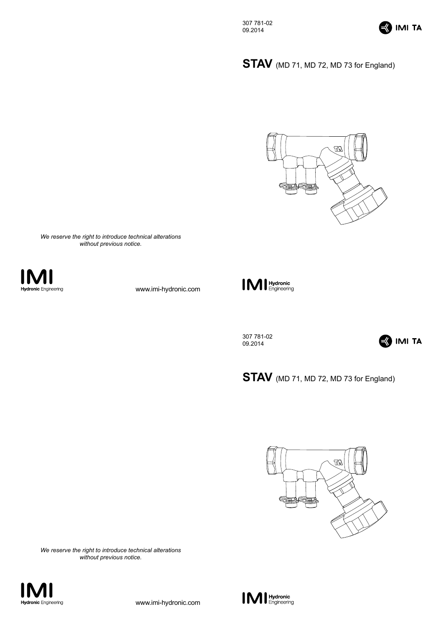

**STAV** (MD 71, MD 72, MD 73 for England)



*We reserve the right to introduce technical alterations without previous notice.*



www.imi-hydronic.com



307 781-02 09.2014



STAV (MD 71, MD 72, MD 73 for England)



*We reserve the right to introduce technical alterations without previous notice.*